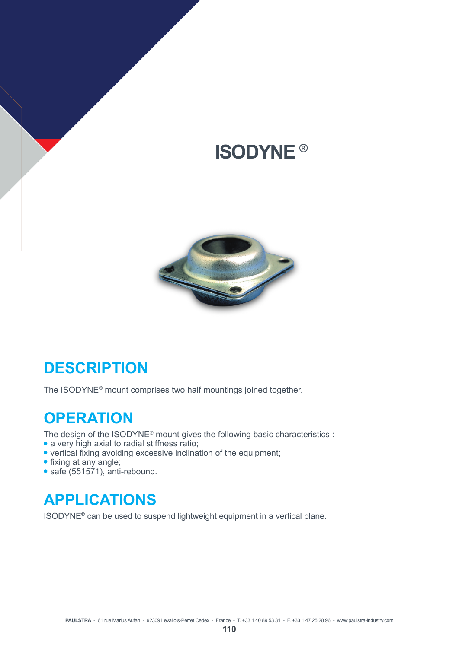# **ISODYNE ®**



### **DESCRIPTION**

The ISODYNE® mount comprises two half mountings joined together.

#### **OPERATION**

The design of the ISODYNE® mount gives the following basic characteristics :

- a very high axial to radial stiffness ratio;
- vertical fixing avoiding excessive inclination of the equipment;
- fixing at any angle;
- $\bullet$  safe (551571), anti-rebound.

#### **APPLICATIONS**

ISODYNE® can be used to suspend lightweight equipment in a vertical plane.